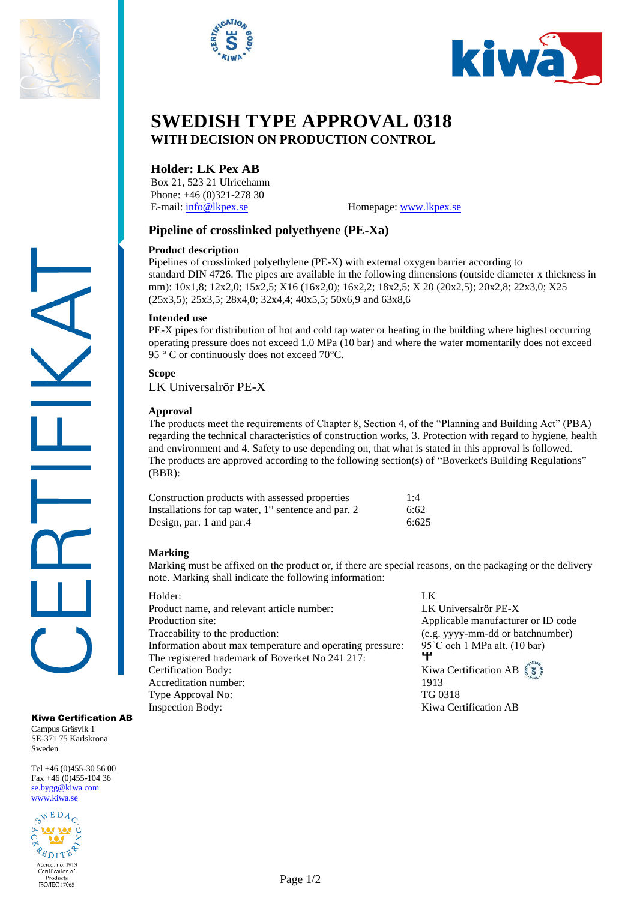





# **SWEDISH TYPE APPROVAL 0318 WITH DECISION ON PRODUCTION CONTROL**

# **Holder: LK Pex AB**

Box 21, 523 21 Ulricehamn Phone: +46 (0)321-278 30 E-mail[: info@lkpex.se](mailto:info@lkpex.se) Homepage: [www.lkpex.se](http://www.lkpex.se/)

# **Pipeline of crosslinked polyethyene (PE-Xa)**

## **Product description**

Pipelines of crosslinked polyethylene (PE-X) with external oxygen barrier according to standard DIN 4726. The pipes are available in the following dimensions (outside diameter x thickness in mm): 10x1,8; 12x2,0; 15x2,5; X16 (16x2,0); 16x2,2; 18x2,5; X 20 (20x2,5); 20x2,8; 22x3,0; X25 (25x3,5); 25x3,5; 28x4,0; 32x4,4; 40x5,5; 50x6,9 and 63x8,6

#### **Intended use**

PE-X pipes for distribution of hot and cold tap water or heating in the building where highest occurring operating pressure does not exceed 1.0 MPa (10 bar) and where the water momentarily does not exceed 95 ° C or continuously does not exceed 70°C.

## **Scope**

LK Universalrör PE-X

## **Approval**

The products meet the requirements of Chapter 8, Section 4, of the "Planning and Building Act" (PBA) regarding the technical characteristics of construction works, 3. Protection with regard to hygiene, health and environment and 4. Safety to use depending on, that what is stated in this approval is followed. The products are approved according to the following section(s) of "Boverket's Building Regulations" (BBR):

| Construction products with assessed properties         | 1:4   |
|--------------------------------------------------------|-------|
| Installations for tap water, $1st$ sentence and par. 2 | 6:62  |
| Design, par. 1 and par. 4                              | 6:625 |

## **Marking**

Marking must be affixed on the product or, if there are special reasons, on the packaging or the delivery note. Marking shall indicate the following information:

| Holder:                                                   | LK                 |
|-----------------------------------------------------------|--------------------|
| Product name, and relevant article number:                | LK Univ            |
| Production site:                                          | Applicab           |
| Traceability to the production:                           | (e.g. yy           |
| Information about max temperature and operating pressure: | $95^{\circ}$ C och |
| The registered trademark of Boverket No 241 217:          |                    |
| Certification Body:                                       | Kiwa Ce            |
| Accreditation number:                                     | 1913               |
| Type Approval No:                                         | TG 0318            |
| <b>Inspection Body:</b>                                   | Kiwa Ce            |

LK Universalrör PE-X Applicable manufacturer or ID code (e.g. yyyy-mm-dd or batchnumber)  $95°C$  och 1 MPa alt. (10 bar) Kiwa Certification AB  $\S$ Kiwa Certification AB

Kiwa Certification AB

Campus Gräsvik 1 SE-371 75 Karlskrona Sweden

Tel +46 (0)455-30 56 00 Fax +46 (0)455-104 36 [se.bygg@kiwa.com](file://///sekiw-mainframe/gemensam/Bygg%20och%20Energi/2%20Kunder/H/Hansgrohe%20SE/pågående%20ärenden/128-19_TG%201395%20rev2_1-grepps%20TS-blandare%20för%202-håls%20inbyggnad%20i%20vägg_AXOR%20MyEdition_(EN%20817)/Certifikat%20utkast/se.bygg@kiwa.com) [www.kiwa.se](http://www.kiwa.se/)